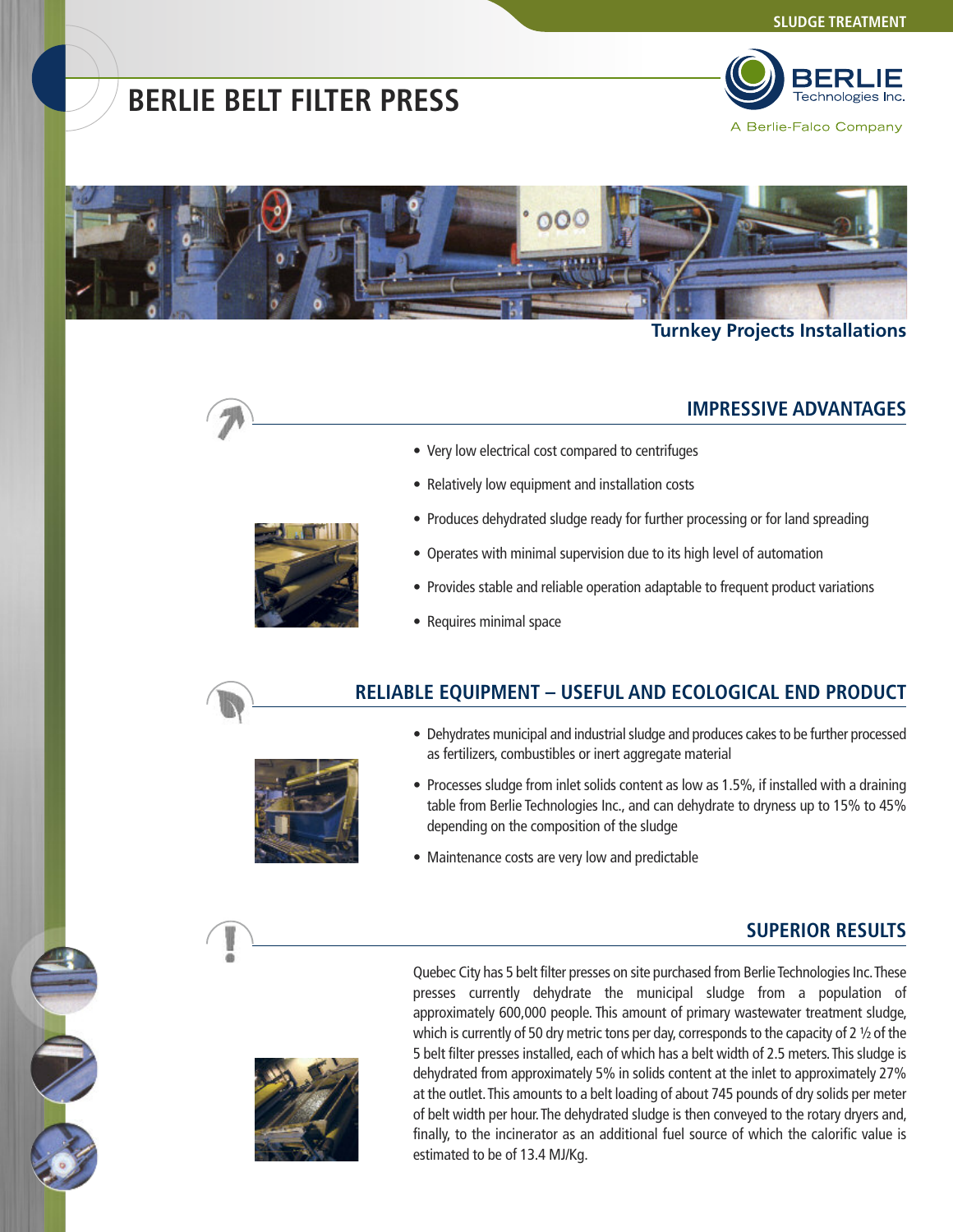# **BERLIE BELT FILTER PRESS**



A Berlie-Falco Company



### **Turnkey Projects Installations**

### **IMPRESSIVE ADVANTAGES**

- Very low electrical cost compared to centrifuges
- Relatively low equipment and installation costs
- Produces dehydrated sludge ready for further processing or for land spreading
- Operates with minimal supervision due to its high level of automation
- Provides stable and reliable operation adaptable to frequent product variations
- Requires minimal space

### **RELIABLE EQUIPMENT – USEFUL AND ECOLOGICAL END PRODUCT**



- Dehydrates municipal and industrial sludge and produces cakes to be further processed as fertilizers, combustibles or inert aggregate material
- Processes sludge from inlet solids content as low as 1.5%, if installed with a draining table from Berlie Technologies Inc., and can dehydrate to dryness up to 15% to 45% depending on the composition of the sludge
- Maintenance costs are very low and predictable

### **SUPERIOR RESULTS**



Quebec City has 5 belt filter presses on site purchased from Berlie Technologies Inc. These presses currently dehydrate the municipal sludge from a population of approximately 600,000 people. This amount of primary wastewater treatment sludge, which is currently of 50 dry metric tons per day, corresponds to the capacity of 2  $\frac{1}{2}$  of the 5 belt filter presses installed, each of which has a belt width of 2.5 meters.This sludge is dehydrated from approximately 5% in solids content at the inlet to approximately 27% at the outlet. This amounts to a belt loading of about 745 pounds of dry solids per meter of belt width per hour. The dehydrated sludge is then conveyed to the rotary dryers and, finally, to the incinerator as an additional fuel source of which the calorific value is estimated to be of 13.4 MJ/Kg.